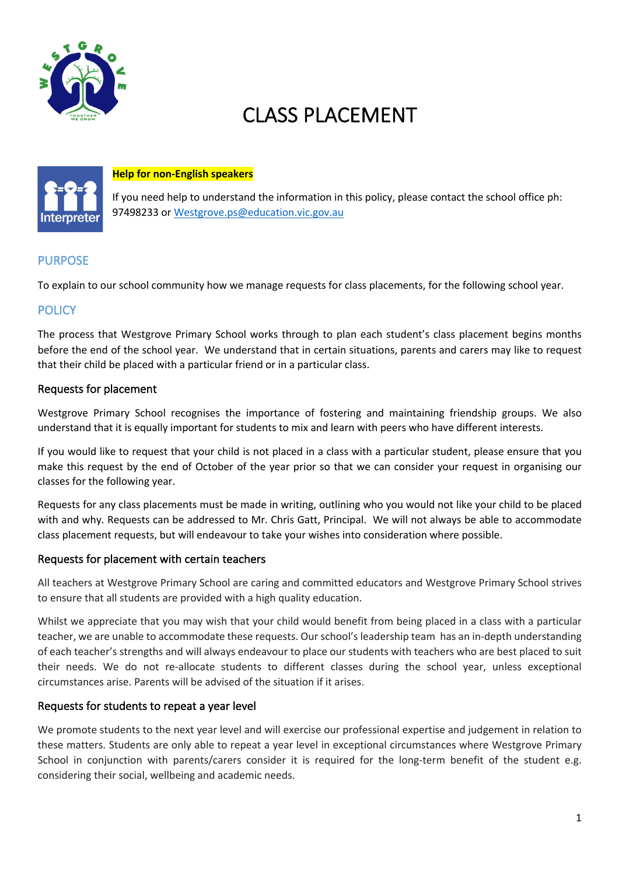

# CLASS PLACEMENT



#### **Help for non-English speakers**

If you need help to understand the information in this policy, please contact the school office ph: 97498233 or Westgrove.ps@education.vic.gov.au

## PURPOSE

To explain to our school community how we manage requests for class placements, for the following school year.

### **POLICY**

The process that Westgrove Primary School works through to plan each student's class placement begins months before the end of the school year. We understand that in certain situations, parents and carers may like to request that their child be placed with a particular friend or in a particular class.

#### Requests for placement

Westgrove Primary School recognises the importance of fostering and maintaining friendship groups. We also understand that it is equally important for students to mix and learn with peers who have different interests.

If you would like to request that your child is not placed in a class with a particular student, please ensure that you make this request by the end of October of the year prior so that we can consider your request in organising our classes for the following year.

Requests for any class placements must be made in writing, outlining who you would not like your child to be placed with and why. Requests can be addressed to Mr. Chris Gatt, Principal. We will not always be able to accommodate class placement requests, but will endeavour to take your wishes into consideration where possible.

#### Requests for placement with certain teachers

All teachers at Westgrove Primary School are caring and committed educators and Westgrove Primary School strives to ensure that all students are provided with a high quality education.

Whilst we appreciate that you may wish that your child would benefit from being placed in a class with a particular teacher, we are unable to accommodate these requests. Our school's leadership team has an in-depth understanding of each teacher's strengths and will always endeavour to place our students with teachers who are best placed to suit their needs. We do not re-allocate students to different classes during the school year, unless exceptional circumstances arise. Parents will be advised of the situation if it arises.

#### Requests for students to repeat a year level

We promote students to the next year level and will exercise our professional expertise and judgement in relation to these matters. Students are only able to repeat a year level in exceptional circumstances where Westgrove Primary School in conjunction with parents/carers consider it is required for the long-term benefit of the student e.g. considering their social, wellbeing and academic needs.